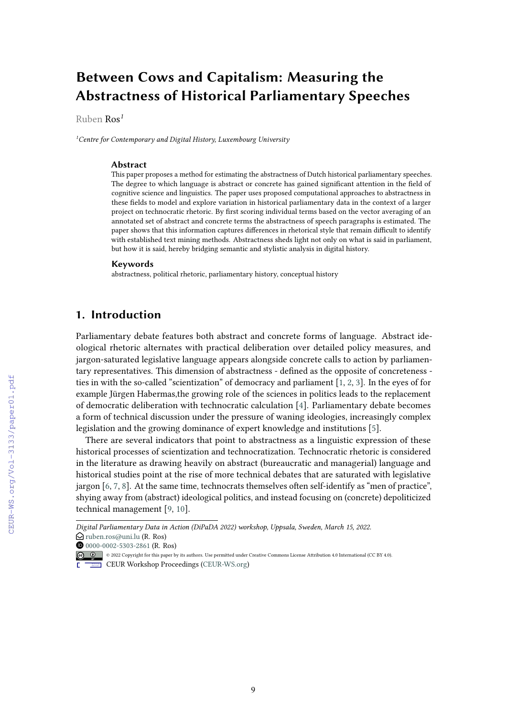# **Between Cows and Capitalism: Measuring the Abstractness of Historical Parliamentary Speeches**

Ruben Ros*<sup>1</sup>*

*<sup>1</sup>Centre for Contemporary and Digital History, Luxembourg University*

#### **Abstract**

This paper proposes a method for estimating the abstractness of Dutch historical parliamentary speeches. The degree to which language is abstract or concrete has gained significant attention in the field of cognitive science and linguistics. The paper uses proposed computational approaches to abstractness in these fields to model and explore variation in historical parliamentary data in the context of a larger project on technocratic rhetoric. By first scoring individual terms based on the vector averaging of an annotated set of abstract and concrete terms the abstractness of speech paragraphs is estimated. The paper shows that this information captures differences in rhetorical style that remain difficult to identify with established text mining methods. Abstractness sheds light not only on what is said in parliament, but how it is said, hereby bridging semantic and stylistic analysis in digital history.

#### **Keywords**

abstractness, political rhetoric, parliamentary history, conceptual history

## **1. Introduction**

Parliamentary debate features both abstract and concrete forms of language. Abstract ideological rhetoric alternates with practical deliberation over detailed policy measures, and jargon-saturated legislative language appears alongside concrete calls to action by parliamentary representatives. This dimension of abstractness - defined as the opposite of concreteness ties in with the so-called "scientization" of democracy and parliament [\[1,](#page--1-0) [2,](#page--1-1) [3\]](#page--1-2). In the eyes of for example Jürgen Habermas,the growing role of the sciences in politics leads to the replacement of democratic deliberation with technocratic calculation [\[4\]](#page--1-3). Parliamentary debate becomes a form of technical discussion under the pressure of waning ideologies, increasingly complex legislation and the growing dominance of expert knowledge and institutions [\[5\]](#page--1-4).

There are several indicators that point to abstractness as a linguistic expression of these historical processes of scientization and technocratization. Technocratic rhetoric is considered in the literature as drawing heavily on abstract (bureaucratic and managerial) language and historical studies point at the rise of more technical debates that are saturated with legislative jargon [\[6,](#page--1-5) [7,](#page--1-6) [8\]](#page--1-7). At the same time, technocrats themselves often self-identify as "men of practice", shying away from (abstract) ideological politics, and instead focusing on (concrete) depoliticized technical management [\[9,](#page--1-8) [10\]](#page--1-9).

CEUR Workshop [Proceedings](http://ceur-ws.org) [\(CEUR-WS.org](http://ceur-ws.org))

 $\bigcirc$  [ruben.ros@uni.lu](mailto:ruben.ros@uni.lu) (R. Ros) *Digital Parliamentary Data in Action (DiPaDA 2022) workshop, Uppsala, Sweden, March 15, 2022.*

 $\bullet$  [0000-0002-5303-2861](https://orcid.org/0000-0002-5303-2861) (R. Ros)

<sup>©</sup> 2022 Copyright for this paper by its authors. Use permitted under Creative Commons License Attribution 4.0 International (CC BY 4.0).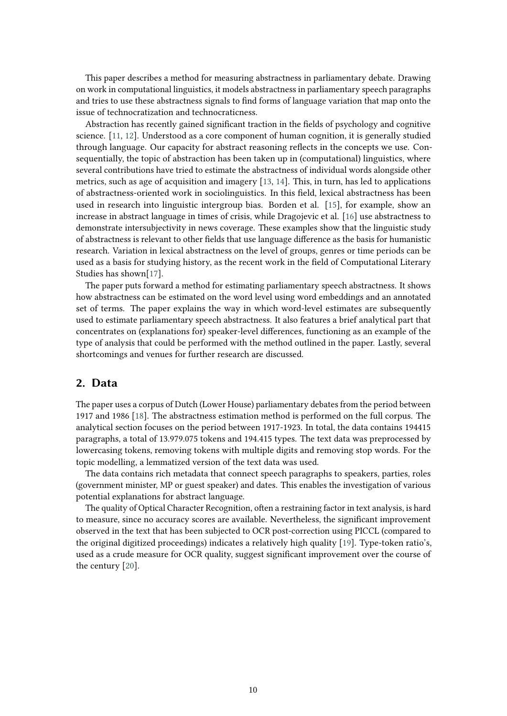This paper describes a method for measuring abstractness in parliamentary debate. Drawing on work in computational linguistics, it models abstractness in parliamentary speech paragraphs and tries to use these abstractness signals to find forms of language variation that map onto the issue of technocratization and technocraticness.

Abstraction has recently gained significant traction in the fields of psychology and cognitive science. [\[11,](#page-10-0) [12\]](#page-10-1). Understood as a core component of human cognition, it is generally studied through language. Our capacity for abstract reasoning reflects in the concepts we use. Consequentially, the topic of abstraction has been taken up in (computational) linguistics, where several contributions have tried to estimate the abstractness of individual words alongside other metrics, such as age of acquisition and imagery [\[13,](#page-10-2) [14\]](#page-10-3). This, in turn, has led to applications of abstractness-oriented work in sociolinguistics. In this field, lexical abstractness has been used in research into linguistic intergroup bias. Borden et al. [\[15\]](#page-10-4), for example, show an increase in abstract language in times of crisis, while Dragojevic et al. [\[16\]](#page-11-0) use abstractness to demonstrate intersubjectivity in news coverage. These examples show that the linguistic study of abstractness is relevant to other fields that use language difference as the basis for humanistic research. Variation in lexical abstractness on the level of groups, genres or time periods can be used as a basis for studying history, as the recent work in the field of Computational Literary Studies has shown[\[17\]](#page-11-1).

The paper puts forward a method for estimating parliamentary speech abstractness. It shows how abstractness can be estimated on the word level using word embeddings and an annotated set of terms. The paper explains the way in which word-level estimates are subsequently used to estimate parliamentary speech abstractness. It also features a brief analytical part that concentrates on (explanations for) speaker-level differences, functioning as an example of the type of analysis that could be performed with the method outlined in the paper. Lastly, several shortcomings and venues for further research are discussed.

### **2. Data**

The paper uses a corpus of Dutch (Lower House) parliamentary debates from the period between 1917 and 1986 [\[18\]](#page-11-2). The abstractness estimation method is performed on the full corpus. The analytical section focuses on the period between 1917-1923. In total, the data contains 194415 paragraphs, a total of 13.979.075 tokens and 194.415 types. The text data was preprocessed by lowercasing tokens, removing tokens with multiple digits and removing stop words. For the topic modelling, a lemmatized version of the text data was used.

The data contains rich metadata that connect speech paragraphs to speakers, parties, roles (government minister, MP or guest speaker) and dates. This enables the investigation of various potential explanations for abstract language.

The quality of Optical Character Recognition, often a restraining factor in text analysis, is hard to measure, since no accuracy scores are available. Nevertheless, the significant improvement observed in the text that has been subjected to OCR post-correction using PICCL (compared to the original digitized proceedings) indicates a relatively high quality [\[19\]](#page-11-3). Type-token ratio's, used as a crude measure for OCR quality, suggest significant improvement over the course of the century [\[20\]](#page-11-4).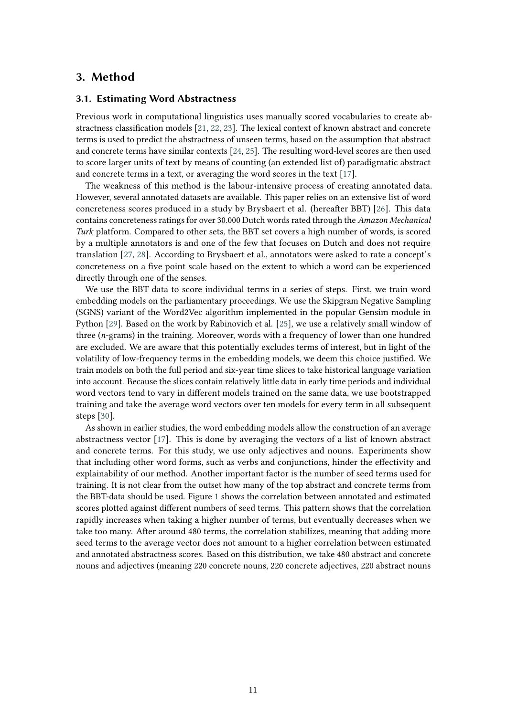### **3. Method**

#### **3.1. Estimating Word Abstractness**

Previous work in computational linguistics uses manually scored vocabularies to create abstractness classification models [\[21,](#page-11-5) [22,](#page-11-6) [23\]](#page-11-7). The lexical context of known abstract and concrete terms is used to predict the abstractness of unseen terms, based on the assumption that abstract and concrete terms have similar contexts [\[24,](#page-11-8) [25\]](#page-11-9). The resulting word-level scores are then used to score larger units of text by means of counting (an extended list of) paradigmatic abstract and concrete terms in a text, or averaging the word scores in the text [\[17\]](#page-11-1).

The weakness of this method is the labour-intensive process of creating annotated data. However, several annotated datasets are available. This paper relies on an extensive list of word concreteness scores produced in a study by Brysbaert et al. (hereafter BBT) [\[26\]](#page-11-10). This data contains concreteness ratings for over 30.000 Dutch words rated through the *Amazon Mechanical Turk* platform. Compared to other sets, the BBT set covers a high number of words, is scored by a multiple annotators is and one of the few that focuses on Dutch and does not require translation [\[27,](#page-11-11) [28\]](#page-11-12). According to Brysbaert et al., annotators were asked to rate a concept's concreteness on a five point scale based on the extent to which a word can be experienced directly through one of the senses.

We use the BBT data to score individual terms in a series of steps. First, we train word embedding models on the parliamentary proceedings. We use the Skipgram Negative Sampling (SGNS) variant of the Word2Vec algorithm implemented in the popular Gensim module in Python [\[29\]](#page-11-13). Based on the work by Rabinovich et al. [\[25\]](#page-11-9), we use a relatively small window of three (*n*-grams) in the training. Moreover, words with a frequency of lower than one hundred are excluded. We are aware that this potentially excludes terms of interest, but in light of the volatility of low-frequency terms in the embedding models, we deem this choice justified. We train models on both the full period and six-year time slices to take historical language variation into account. Because the slices contain relatively little data in early time periods and individual word vectors tend to vary in different models trained on the same data, we use bootstrapped training and take the average word vectors over ten models for every term in all subsequent steps [\[30\]](#page-11-14).

As shown in earlier studies, the word embedding models allow the construction of an average abstractness vector [\[17\]](#page-11-1). This is done by averaging the vectors of a list of known abstract and concrete terms. For this study, we use only adjectives and nouns. Experiments show that including other word forms, such as verbs and conjunctions, hinder the effectivity and explainability of our method. Another important factor is the number of seed terms used for training. It is not clear from the outset how many of the top abstract and concrete terms from the BBT-data should be used. Figure [1](#page-3-0) shows the correlation between annotated and estimated scores plotted against different numbers of seed terms. This pattern shows that the correlation rapidly increases when taking a higher number of terms, but eventually decreases when we take too many. After around 480 terms, the correlation stabilizes, meaning that adding more seed terms to the average vector does not amount to a higher correlation between estimated and annotated abstractness scores. Based on this distribution, we take 480 abstract and concrete nouns and adjectives (meaning 220 concrete nouns, 220 concrete adjectives, 220 abstract nouns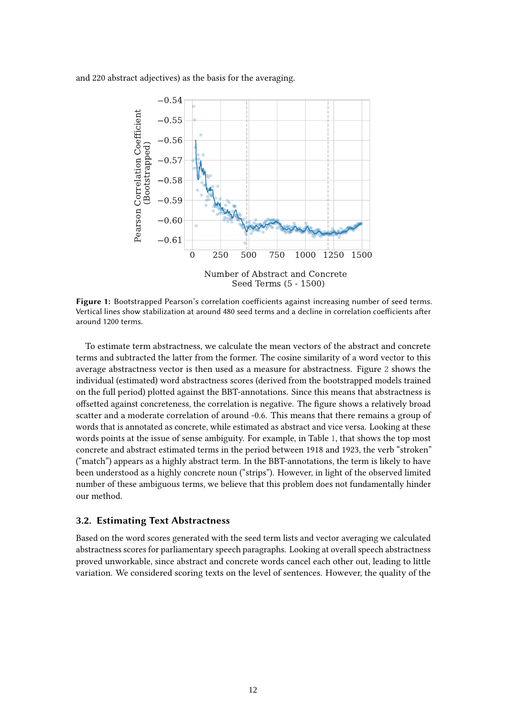<span id="page-3-0"></span>and 220 abstract adjectives) as the basis for the averaging.



**Figure 1:** Bootstrapped Pearson's correlation coefficients against increasing number of seed terms. Vertical lines show stabilization at around 480 seed terms and a decline in correlation coefficients after around 1200 terms.

To estimate term abstractness, we calculate the mean vectors of the abstract and concrete terms and subtracted the latter from the former. The cosine similarity of a word vector to this average abstractness vector is then used as a measure for abstractness. Figure [2](#page-4-0) shows the individual (estimated) word abstractness scores (derived from the bootstrapped models trained on the full period) plotted against the BBT-annotations. Since this means that abstractness is offsetted against concreteness, the correlation is negative. The figure shows a relatively broad scatter and a moderate correlation of around -0.6. This means that there remains a group of words that is annotated as concrete, while estimated as abstract and vice versa. Looking at these words points at the issue of sense ambiguity. For example, in Table [1,](#page-4-1) that shows the top most concrete and abstract estimated terms in the period between 1918 and 1923, the verb "stroken" ("match") appears as a highly abstract term. In the BBT-annotations, the term is likely to have been understood as a highly concrete noun ("strips"). However, in light of the observed limited number of these ambiguous terms, we believe that this problem does not fundamentally hinder our method.

#### **3.2. Estimating Text Abstractness**

Based on the word scores generated with the seed term lists and vector averaging we calculated abstractness scores for parliamentary speech paragraphs. Looking at overall speech abstractness proved unworkable, since abstract and concrete words cancel each other out, leading to little variation. We considered scoring texts on the level of sentences. However, the quality of the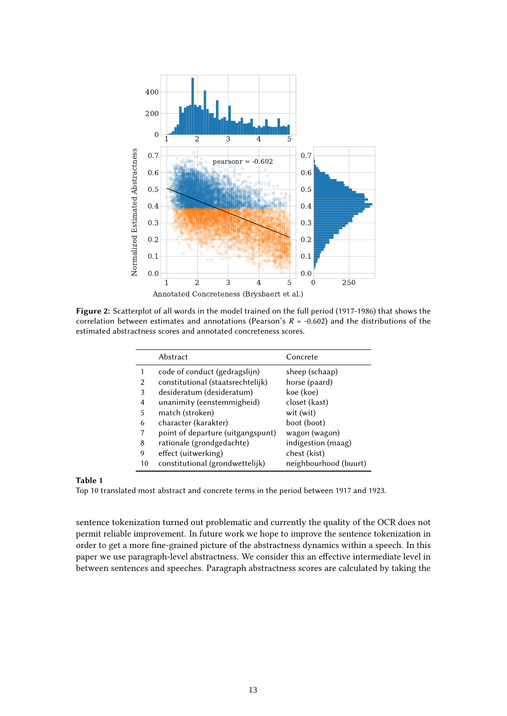<span id="page-4-0"></span>

<span id="page-4-1"></span>**Figure 2:** Scatterplot of all words in the model trained on the full period (1917-1986) that shows the correlation between estimates and annotations (Pearson's *R* = -0.602) and the distributions of the estimated abstractness scores and annotated concreteness scores.

|                | Abstract                          | Concrete              |
|----------------|-----------------------------------|-----------------------|
|                | code of conduct (gedragslijn)     | sheep (schaap)        |
| $\overline{2}$ | constitutional (staatsrechtelijk) | horse (paard)         |
| 3              | desideratum (desideratum)         | koe (koe)             |
| 4              | unanimity (eenstemmigheid)        | closet (kast)         |
| 5              | match (stroken)                   | wit (wit)             |
| 6              | character (karakter)              | boot (boot)           |
|                | point of departure (uitgangspunt) | wagon (wagon)         |
| 8              | rationale (grondgedachte)         | indigestion (maag)    |
| 9              | effect (uitwerking)               | chest (kist)          |
| 10             | constitutional (grondwettelijk)   | neighbourhood (buurt) |

#### **Table 1**

Top 10 translated most abstract and concrete terms in the period between 1917 and 1923.

sentence tokenization turned out problematic and currently the quality of the OCR does not permit reliable improvement. In future work we hope to improve the sentence tokenization in order to get a more fine-grained picture of the abstractness dynamics within a speech. In this paper we use paragraph-level abstractness. We consider this an effective intermediate level in between sentences and speeches. Paragraph abstractness scores are calculated by taking the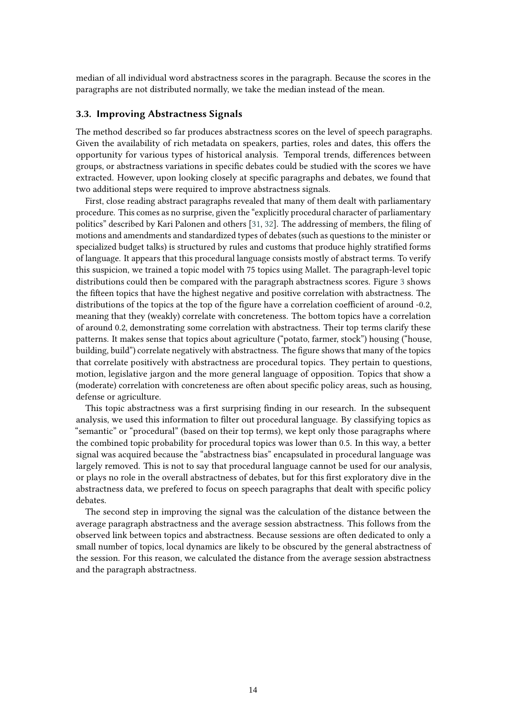median of all individual word abstractness scores in the paragraph. Because the scores in the paragraphs are not distributed normally, we take the median instead of the mean.

#### **3.3. Improving Abstractness Signals**

The method described so far produces abstractness scores on the level of speech paragraphs. Given the availability of rich metadata on speakers, parties, roles and dates, this offers the opportunity for various types of historical analysis. Temporal trends, differences between groups, or abstractness variations in specific debates could be studied with the scores we have extracted. However, upon looking closely at specific paragraphs and debates, we found that two additional steps were required to improve abstractness signals.

First, close reading abstract paragraphs revealed that many of them dealt with parliamentary procedure. This comes as no surprise, given the "explicitly procedural character of parliamentary politics" described by Kari Palonen and others [\[31,](#page-11-15) [32\]](#page-12-0). The addressing of members, the filing of motions and amendments and standardized types of debates (such as questions to the minister or specialized budget talks) is structured by rules and customs that produce highly stratified forms of language. It appears that this procedural language consists mostly of abstract terms. To verify this suspicion, we trained a topic model with 75 topics using Mallet. The paragraph-level topic distributions could then be compared with the paragraph abstractness scores. Figure [3](#page-6-0) shows the fifteen topics that have the highest negative and positive correlation with abstractness. The distributions of the topics at the top of the figure have a correlation coefficient of around -0.2, meaning that they (weakly) correlate with concreteness. The bottom topics have a correlation of around 0.2, demonstrating some correlation with abstractness. Their top terms clarify these patterns. It makes sense that topics about agriculture ("potato, farmer, stock") housing ("house, building, build") correlate negatively with abstractness. The figure shows that many of the topics that correlate positively with abstractness are procedural topics. They pertain to questions, motion, legislative jargon and the more general language of opposition. Topics that show a (moderate) correlation with concreteness are often about specific policy areas, such as housing, defense or agriculture.

This topic abstractness was a first surprising finding in our research. In the subsequent analysis, we used this information to filter out procedural language. By classifying topics as "semantic" or "procedural" (based on their top terms), we kept only those paragraphs where the combined topic probability for procedural topics was lower than 0.5. In this way, a better signal was acquired because the "abstractness bias" encapsulated in procedural language was largely removed. This is not to say that procedural language cannot be used for our analysis, or plays no role in the overall abstractness of debates, but for this first exploratory dive in the abstractness data, we prefered to focus on speech paragraphs that dealt with specific policy debates.

The second step in improving the signal was the calculation of the distance between the average paragraph abstractness and the average session abstractness. This follows from the observed link between topics and abstractness. Because sessions are often dedicated to only a small number of topics, local dynamics are likely to be obscured by the general abstractness of the session. For this reason, we calculated the distance from the average session abstractness and the paragraph abstractness.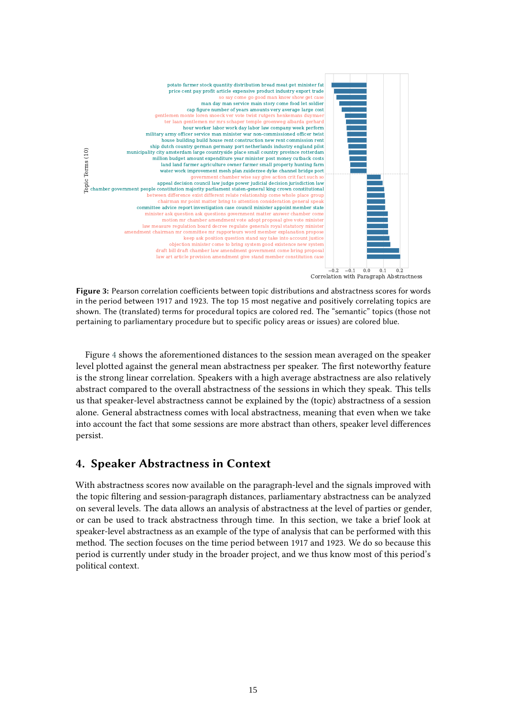<span id="page-6-0"></span>

**Figure 3:** Pearson correlation coefficients between topic distributions and abstractness scores for words in the period between 1917 and 1923. The top 15 most negative and positively correlating topics are shown. The (translated) terms for procedural topics are colored red. The "semantic" topics (those not pertaining to parliamentary procedure but to specific policy areas or issues) are colored blue.

Figure [4](#page-7-0) shows the aforementioned distances to the session mean averaged on the speaker level plotted against the general mean abstractness per speaker. The first noteworthy feature is the strong linear correlation. Speakers with a high average abstractness are also relatively abstract compared to the overall abstractness of the sessions in which they speak. This tells us that speaker-level abstractness cannot be explained by the (topic) abstractness of a session alone. General abstractness comes with local abstractness, meaning that even when we take into account the fact that some sessions are more abstract than others, speaker level differences persist.

# **4. Speaker Abstractness in Context**

With abstractness scores now available on the paragraph-level and the signals improved with the topic filtering and session-paragraph distances, parliamentary abstractness can be analyzed on several levels. The data allows an analysis of abstractness at the level of parties or gender, or can be used to track abstractness through time. In this section, we take a brief look at speaker-level abstractness as an example of the type of analysis that can be performed with this method. The section focuses on the time period between 1917 and 1923. We do so because this period is currently under study in the broader project, and we thus know most of this period's political context.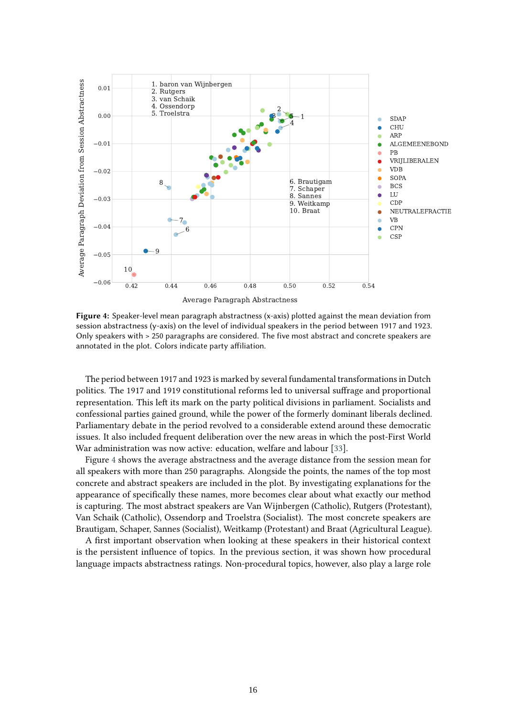<span id="page-7-0"></span>

**Figure 4:** Speaker-level mean paragraph abstractness (x-axis) plotted against the mean deviation from session abstractness (y-axis) on the level of individual speakers in the period between 1917 and 1923. Only speakers with > 250 paragraphs are considered. The five most abstract and concrete speakers are annotated in the plot. Colors indicate party affiliation.

The period between 1917 and 1923 is marked by several fundamental transformations in Dutch politics. The 1917 and 1919 constitutional reforms led to universal suffrage and proportional representation. This left its mark on the party political divisions in parliament. Socialists and confessional parties gained ground, while the power of the formerly dominant liberals declined. Parliamentary debate in the period revolved to a considerable extend around these democratic issues. It also included frequent deliberation over the new areas in which the post-First World War administration was now active: education, welfare and labour [\[33\]](#page-12-1).

Figure [4](#page-7-0) shows the average abstractness and the average distance from the session mean for all speakers with more than 250 paragraphs. Alongside the points, the names of the top most concrete and abstract speakers are included in the plot. By investigating explanations for the appearance of specifically these names, more becomes clear about what exactly our method is capturing. The most abstract speakers are Van Wijnbergen (Catholic), Rutgers (Protestant), Van Schaik (Catholic), Ossendorp and Troelstra (Socialist). The most concrete speakers are Brautigam, Schaper, Sannes (Socialist), Weitkamp (Protestant) and Braat (Agricultural League).

A first important observation when looking at these speakers in their historical context is the persistent influence of topics. In the previous section, it was shown how procedural language impacts abstractness ratings. Non-procedural topics, however, also play a large role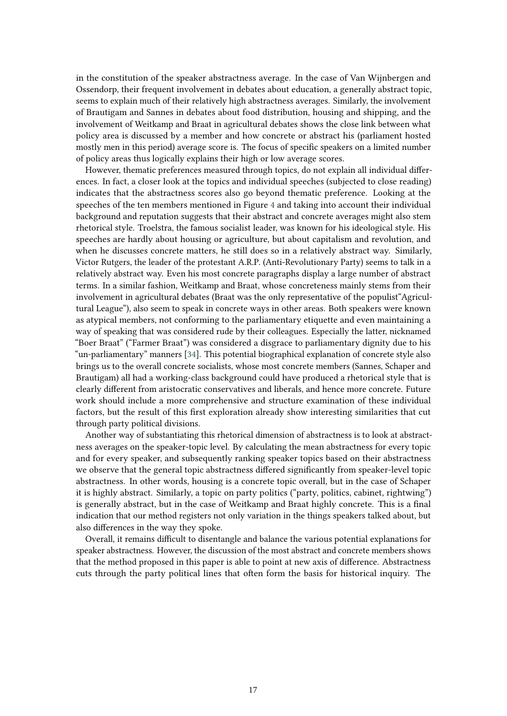in the constitution of the speaker abstractness average. In the case of Van Wijnbergen and Ossendorp, their frequent involvement in debates about education, a generally abstract topic, seems to explain much of their relatively high abstractness averages. Similarly, the involvement of Brautigam and Sannes in debates about food distribution, housing and shipping, and the involvement of Weitkamp and Braat in agricultural debates shows the close link between what policy area is discussed by a member and how concrete or abstract his (parliament hosted mostly men in this period) average score is. The focus of specific speakers on a limited number of policy areas thus logically explains their high or low average scores.

However, thematic preferences measured through topics, do not explain all individual differences. In fact, a closer look at the topics and individual speeches (subjected to close reading) indicates that the abstractness scores also go beyond thematic preference. Looking at the speeches of the ten members mentioned in Figure [4](#page-7-0) and taking into account their individual background and reputation suggests that their abstract and concrete averages might also stem rhetorical style. Troelstra, the famous socialist leader, was known for his ideological style. His speeches are hardly about housing or agriculture, but about capitalism and revolution, and when he discusses concrete matters, he still does so in a relatively abstract way. Similarly, Victor Rutgers, the leader of the protestant A.R.P. (Anti-Revolutionary Party) seems to talk in a relatively abstract way. Even his most concrete paragraphs display a large number of abstract terms. In a similar fashion, Weitkamp and Braat, whose concreteness mainly stems from their involvement in agricultural debates (Braat was the only representative of the populist"Agricultural League"), also seem to speak in concrete ways in other areas. Both speakers were known as atypical members, not conforming to the parliamentary etiquette and even maintaining a way of speaking that was considered rude by their colleagues. Especially the latter, nicknamed "Boer Braat" ("Farmer Braat") was considered a disgrace to parliamentary dignity due to his "un-parliamentary" manners [\[34\]](#page-12-2). This potential biographical explanation of concrete style also brings us to the overall concrete socialists, whose most concrete members (Sannes, Schaper and Brautigam) all had a working-class background could have produced a rhetorical style that is clearly different from aristocratic conservatives and liberals, and hence more concrete. Future work should include a more comprehensive and structure examination of these individual factors, but the result of this first exploration already show interesting similarities that cut through party political divisions.

Another way of substantiating this rhetorical dimension of abstractness is to look at abstractness averages on the speaker-topic level. By calculating the mean abstractness for every topic and for every speaker, and subsequently ranking speaker topics based on their abstractness we observe that the general topic abstractness differed significantly from speaker-level topic abstractness. In other words, housing is a concrete topic overall, but in the case of Schaper it is highly abstract. Similarly, a topic on party politics ("party, politics, cabinet, rightwing") is generally abstract, but in the case of Weitkamp and Braat highly concrete. This is a final indication that our method registers not only variation in the things speakers talked about, but also differences in the way they spoke.

Overall, it remains difficult to disentangle and balance the various potential explanations for speaker abstractness. However, the discussion of the most abstract and concrete members shows that the method proposed in this paper is able to point at new axis of difference. Abstractness cuts through the party political lines that often form the basis for historical inquiry. The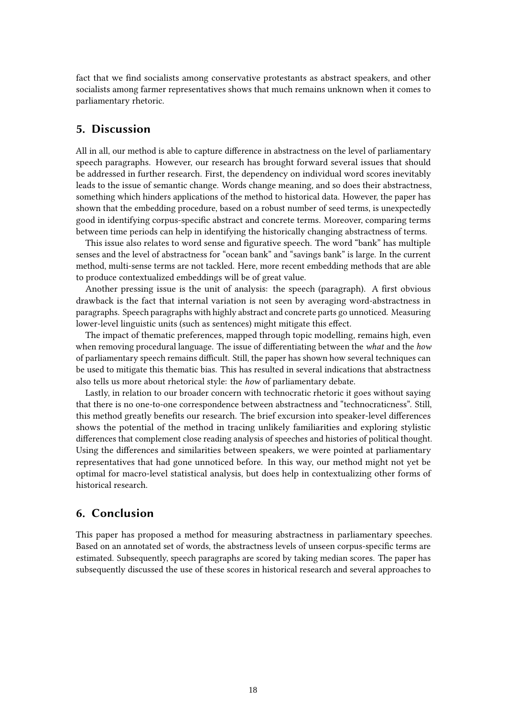fact that we find socialists among conservative protestants as abstract speakers, and other socialists among farmer representatives shows that much remains unknown when it comes to parliamentary rhetoric.

### **5. Discussion**

All in all, our method is able to capture difference in abstractness on the level of parliamentary speech paragraphs. However, our research has brought forward several issues that should be addressed in further research. First, the dependency on individual word scores inevitably leads to the issue of semantic change. Words change meaning, and so does their abstractness, something which hinders applications of the method to historical data. However, the paper has shown that the embedding procedure, based on a robust number of seed terms, is unexpectedly good in identifying corpus-specific abstract and concrete terms. Moreover, comparing terms between time periods can help in identifying the historically changing abstractness of terms.

This issue also relates to word sense and figurative speech. The word "bank" has multiple senses and the level of abstractness for "ocean bank" and "savings bank" is large. In the current method, multi-sense terms are not tackled. Here, more recent embedding methods that are able to produce contextualized embeddings will be of great value.

Another pressing issue is the unit of analysis: the speech (paragraph). A first obvious drawback is the fact that internal variation is not seen by averaging word-abstractness in paragraphs. Speech paragraphs with highly abstract and concrete parts go unnoticed. Measuring lower-level linguistic units (such as sentences) might mitigate this effect.

The impact of thematic preferences, mapped through topic modelling, remains high, even when removing procedural language. The issue of differentiating between the *what* and the *how* of parliamentary speech remains difficult. Still, the paper has shown how several techniques can be used to mitigate this thematic bias. This has resulted in several indications that abstractness also tells us more about rhetorical style: the *how* of parliamentary debate.

Lastly, in relation to our broader concern with technocratic rhetoric it goes without saying that there is no one-to-one correspondence between abstractness and "technocraticness". Still, this method greatly benefits our research. The brief excursion into speaker-level differences shows the potential of the method in tracing unlikely familiarities and exploring stylistic differences that complement close reading analysis of speeches and histories of political thought. Using the differences and similarities between speakers, we were pointed at parliamentary representatives that had gone unnoticed before. In this way, our method might not yet be optimal for macro-level statistical analysis, but does help in contextualizing other forms of historical research.

### **6. Conclusion**

This paper has proposed a method for measuring abstractness in parliamentary speeches. Based on an annotated set of words, the abstractness levels of unseen corpus-specific terms are estimated. Subsequently, speech paragraphs are scored by taking median scores. The paper has subsequently discussed the use of these scores in historical research and several approaches to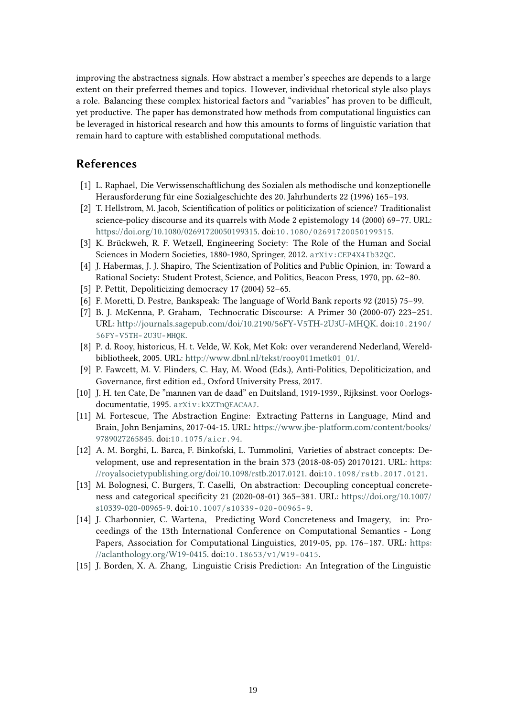improving the abstractness signals. How abstract a member's speeches are depends to a large extent on their preferred themes and topics. However, individual rhetorical style also plays a role. Balancing these complex historical factors and "variables" has proven to be difficult, yet productive. The paper has demonstrated how methods from computational linguistics can be leveraged in historical research and how this amounts to forms of linguistic variation that remain hard to capture with established computational methods.

# **References**

- [1] L. Raphael, Die Verwissenschaftlichung des Sozialen als methodische und konzeptionelle Herausforderung für eine Sozialgeschichte des 20. Jahrhunderts 22 (1996) 165–193.
- [2] T. Hellstrom, M. Jacob, Scientification of politics or politicization of science? Traditionalist science-policy discourse and its quarrels with Mode 2 epistemology 14 (2000) 69–77. URL: [https://doi.org/10.1080/02691720050199315.](https://doi.org/10.1080/02691720050199315) doi:[10.1080/02691720050199315](http://dx.doi.org/10.1080/02691720050199315).
- [3] K. Brückweh, R. F. Wetzell, Engineering Society: The Role of the Human and Social Sciences in Modern Societies, 1880-1980, Springer, 2012. [arXiv:CEP4X4Ib32QC](http://arxiv.org/abs/CEP4X4Ib32QC).
- [4] J. Habermas, J. J. Shapiro, The Scientization of Politics and Public Opinion, in: Toward a Rational Society: Student Protest, Science, and Politics, Beacon Press, 1970, pp. 62–80.
- [5] P. Pettit, Depoliticizing democracy 17 (2004) 52–65.
- [6] F. Moretti, D. Pestre, Bankspeak: The language of World Bank reports 92 (2015) 75–99.
- [7] B. J. McKenna, P. Graham, Technocratic Discourse: A Primer 30 (2000-07) 223–251. URL: [http://journals.sagepub.com/doi/10.2190/56FY-V5TH-2U3U-MHQK.](http://journals.sagepub.com/doi/10.2190/56FY-V5TH-2U3U-MHQK) doi:[10.2190/](http://dx.doi.org/10.2190/56FY-V5TH-2U3U-MHQK) [56FY- V5TH- 2U3U- MHQK](http://dx.doi.org/10.2190/56FY-V5TH-2U3U-MHQK).
- [8] P. d. Rooy, historicus, H. t. Velde, W. Kok, Met Kok: over veranderend Nederland, Wereldbibliotheek, 2005. URL: [http://www.dbnl.nl/tekst/rooy011metk01\\_01/.](http://www.dbnl.nl/tekst/rooy011metk01_01/)
- [9] P. Fawcett, M. V. Flinders, C. Hay, M. Wood (Eds.), Anti-Politics, Depoliticization, and Governance, first edition ed., Oxford University Press, 2017.
- [10] J. H. ten Cate, De "mannen van de daad" en Duitsland, 1919-1939., Rijksinst. voor Oorlogsdocumentatie, 1995. [arXiv:kXZTnQEACAAJ](http://arxiv.org/abs/kXZTnQEACAAJ).
- <span id="page-10-0"></span>[11] M. Fortescue, The Abstraction Engine: Extracting Patterns in Language, Mind and Brain, John Benjamins, 2017-04-15. URL: [https://www.jbe-platform.com/content/books/](https://www.jbe-platform.com/content/books/9789027265845) [9789027265845.](https://www.jbe-platform.com/content/books/9789027265845) doi:[10.1075/aicr.94](http://dx.doi.org/10.1075/aicr.94).
- <span id="page-10-1"></span>[12] A. M. Borghi, L. Barca, F. Binkofski, L. Tummolini, Varieties of abstract concepts: Development, use and representation in the brain 373 (2018-08-05) 20170121. URL: [https:](https://royalsocietypublishing.org/doi/10.1098/rstb.2017.0121) [//royalsocietypublishing.org/doi/10.1098/rstb.2017.0121.](https://royalsocietypublishing.org/doi/10.1098/rstb.2017.0121) doi:[10.1098/rstb.2017.0121](http://dx.doi.org/10.1098/rstb.2017.0121).
- <span id="page-10-2"></span>[13] M. Bolognesi, C. Burgers, T. Caselli, On abstraction: Decoupling conceptual concreteness and categorical specificity 21 (2020-08-01) 365–381. URL: [https://doi.org/10.1007/](https://doi.org/10.1007/s10339-020-00965-9) [s10339-020-00965-9.](https://doi.org/10.1007/s10339-020-00965-9) doi:[10.1007/s10339- 020- 00965- 9](http://dx.doi.org/10.1007/s10339-020-00965-9).
- <span id="page-10-3"></span>[14] J. Charbonnier, C. Wartena, Predicting Word Concreteness and Imagery, in: Proceedings of the 13th International Conference on Computational Semantics - Long Papers, Association for Computational Linguistics, 2019-05, pp. 176–187. URL: [https:](https://aclanthology.org/W19-0415) [//aclanthology.org/W19-0415.](https://aclanthology.org/W19-0415) doi:[10.18653/v1/W19- 0415](http://dx.doi.org/10.18653/v1/W19-0415).
- <span id="page-10-4"></span>[15] J. Borden, X. A. Zhang, Linguistic Crisis Prediction: An Integration of the Linguistic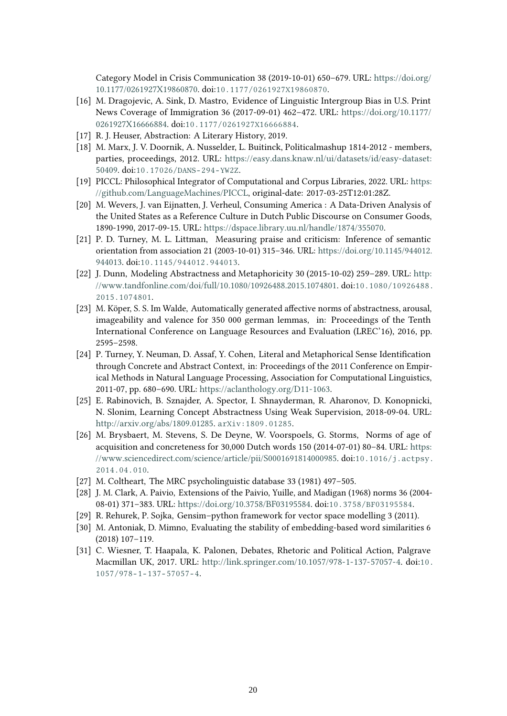Category Model in Crisis Communication 38 (2019-10-01) 650–679. URL: [https://doi.org/](https://doi.org/10.1177/0261927X19860870) [10.1177/0261927X19860870.](https://doi.org/10.1177/0261927X19860870) doi:[10.1177/0261927X19860870](http://dx.doi.org/10.1177/0261927X19860870).

- <span id="page-11-0"></span>[16] M. Dragojevic, A. Sink, D. Mastro, Evidence of Linguistic Intergroup Bias in U.S. Print News Coverage of Immigration 36 (2017-09-01) 462–472. URL: [https://doi.org/10.1177/](https://doi.org/10.1177/0261927X16666884) [0261927X16666884.](https://doi.org/10.1177/0261927X16666884) doi:[10.1177/0261927X16666884](http://dx.doi.org/10.1177/0261927X16666884).
- <span id="page-11-1"></span>[17] R. J. Heuser, Abstraction: A Literary History, 2019.
- <span id="page-11-2"></span>[18] M. Marx, J. V. Doornik, A. Nusselder, L. Buitinck, Politicalmashup 1814-2012 - members, parties, proceedings, 2012. URL: [https://easy.dans.knaw.nl/ui/datasets/id/easy-dataset:](https://easy.dans.knaw.nl/ui/datasets/id/easy-dataset:50409) [50409.](https://easy.dans.knaw.nl/ui/datasets/id/easy-dataset:50409) doi:[10.17026/DANS- 294- YW2Z](http://dx.doi.org/10.17026/DANS-294-YW2Z).
- <span id="page-11-3"></span>[19] PICCL: Philosophical Integrator of Computational and Corpus Libraries, 2022. URL: [https:](https://github.com/LanguageMachines/PICCL) [//github.com/LanguageMachines/PICCL,](https://github.com/LanguageMachines/PICCL) original-date: 2017-03-25T12:01:28Z.
- <span id="page-11-4"></span>[20] M. Wevers, J. van Eijnatten, J. Verheul, Consuming America : A Data-Driven Analysis of the United States as a Reference Culture in Dutch Public Discourse on Consumer Goods, 1890-1990, 2017-09-15. URL: [https://dspace.library.uu.nl/handle/1874/355070.](https://dspace.library.uu.nl/handle/1874/355070)
- <span id="page-11-5"></span>[21] P. D. Turney, M. L. Littman, Measuring praise and criticism: Inference of semantic orientation from association 21 (2003-10-01) 315–346. URL: [https://doi.org/10.1145/944012.](https://doi.org/10.1145/944012.944013) [944013.](https://doi.org/10.1145/944012.944013) doi:[10.1145/944012.944013](http://dx.doi.org/10.1145/944012.944013).
- <span id="page-11-6"></span>[22] J. Dunn, Modeling Abstractness and Metaphoricity 30 (2015-10-02) 259–289. URL: [http:](http://www.tandfonline.com/doi/full/10.1080/10926488.2015.1074801) [//www.tandfonline.com/doi/full/10.1080/10926488.2015.1074801.](http://www.tandfonline.com/doi/full/10.1080/10926488.2015.1074801) doi:[10.1080/10926488.](http://dx.doi.org/10.1080/10926488.2015.1074801) [2015.1074801](http://dx.doi.org/10.1080/10926488.2015.1074801).
- <span id="page-11-7"></span>[23] M. Köper, S. S. Im Walde, Automatically generated affective norms of abstractness, arousal, imageability and valence for 350 000 german lemmas, in: Proceedings of the Tenth International Conference on Language Resources and Evaluation (LREC'16), 2016, pp. 2595–2598.
- <span id="page-11-8"></span>[24] P. Turney, Y. Neuman, D. Assaf, Y. Cohen, Literal and Metaphorical Sense Identification through Concrete and Abstract Context, in: Proceedings of the 2011 Conference on Empirical Methods in Natural Language Processing, Association for Computational Linguistics, 2011-07, pp. 680–690. URL: [https://aclanthology.org/D11-1063.](https://aclanthology.org/D11-1063)
- <span id="page-11-9"></span>[25] E. Rabinovich, B. Sznajder, A. Spector, I. Shnayderman, R. Aharonov, D. Konopnicki, N. Slonim, Learning Concept Abstractness Using Weak Supervision, 2018-09-04. URL: [http://arxiv.org/abs/1809.01285.](http://arxiv.org/abs/1809.01285) [arXiv:1809.01285](http://arxiv.org/abs/1809.01285).
- <span id="page-11-10"></span>[26] M. Brysbaert, M. Stevens, S. De Deyne, W. Voorspoels, G. Storms, Norms of age of acquisition and concreteness for 30,000 Dutch words 150 (2014-07-01) 80–84. URL: [https:](https://www.sciencedirect.com/science/article/pii/S0001691814000985) [//www.sciencedirect.com/science/article/pii/S0001691814000985.](https://www.sciencedirect.com/science/article/pii/S0001691814000985) doi:[10.1016/j.actpsy.](http://dx.doi.org/10.1016/j.actpsy.2014.04.010) [2014.04.010](http://dx.doi.org/10.1016/j.actpsy.2014.04.010).
- <span id="page-11-11"></span>[27] M. Coltheart, The MRC psycholinguistic database 33 (1981) 497–505.
- <span id="page-11-12"></span>[28] J. M. Clark, A. Paivio, Extensions of the Paivio, Yuille, and Madigan (1968) norms 36 (2004- 08-01) 371–383. URL: [https://doi.org/10.3758/BF03195584.](https://doi.org/10.3758/BF03195584) doi:[10.3758/BF03195584](http://dx.doi.org/10.3758/BF03195584).
- <span id="page-11-13"></span>[29] R. Rehurek, P. Sojka, Gensim–python framework for vector space modelling 3 (2011).
- <span id="page-11-14"></span>[30] M. Antoniak, D. Mimno, Evaluating the stability of embedding-based word similarities 6 (2018) 107–119.
- <span id="page-11-15"></span>[31] C. Wiesner, T. Haapala, K. Palonen, Debates, Rhetoric and Political Action, Palgrave Macmillan UK, 2017. URL: [http://link.springer.com/10.1057/978-1-137-57057-4.](http://link.springer.com/10.1057/978-1-137-57057-4) doi:[10.](http://dx.doi.org/10.1057/978-1-137-57057-4)  $1057/978 - 1 - 137 - 57057 - 4.$